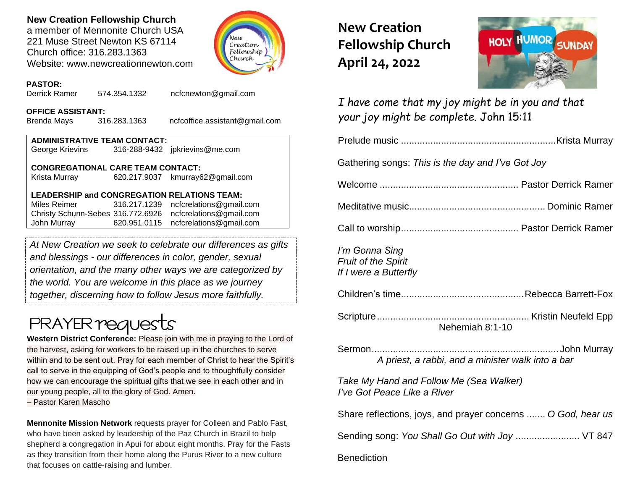# **New Creation Fellowship Church**

a member of Mennonite Church USA 221 Muse Street Newton KS 67114 Church office: 316.283.1363 Website: www.newcreationnewton.com



## **PASTOR:**

Derrick Ramer 574.354.1332 [ncfcnewton@gmail.com](mailto:ncfcnewton@gmail.com)

#### **OFFICE ASSISTANT:**

Brenda Mays 316.283.1363 ncfcoffice.assistant@gmail.com

#### **ADMINISTRATIVE TEAM CONTACT:** George Krievins 316-288-9432 jpkrievins@me.com

## **CONGREGATIONAL CARE TEAM CONTACT:**

Krista Murray 620.217.9037 [kmurray62@gmail.com](mailto:kmurray62@gmail.com)

### **LEADERSHIP and CONGREGATION RELATIONS TEAM:**

Miles Reimer [316.217.1239](mailto:316.217.1239) [ncfcrelations@gmail.com](mailto:ncfcrelations@gmail.com) Christy Schunn-Sebes 316.772.6926 [ncfcrelations@gmail.com](mailto:ncfcrelations@gmail.com) John Murray 620.951.0115 [ncfcrelations@gmail.com](mailto:ncfcrelations@gmail.com)

*At New Creation we seek to celebrate our differences as gifts and blessings - our differences in color, gender, sexual orientation, and the many other ways we are categorized by the world. You are welcome in this place as we journey together, discerning how to follow Jesus more faithfully.*

# **PRAYER reques**

**Western District Conference:** Please join with me in praying to the Lord of the harvest, asking for workers to be raised up in the churches to serve within and to be sent out. Pray for each member of Christ to hear the Spirit's call to serve in the equipping of God's people and to thoughtfully consider how we can encourage the spiritual gifts that we see in each other and in our young people, all to the glory of God. Amen.

– Pastor Karen Mascho

**Mennonite Mission Network** requests prayer for Colleen and Pablo Fast, who have been asked by leadership of the Paz Church in Brazil to help shepherd a congregation in Apuí for about eight months. Pray for the Fasts as they transition from their home along the Purus River to a new culture that focuses on cattle-raising and lumber.

**New Creation Fellowship Church April 24, 2022**



*I have come that my joy might be in you and that your joy might be complete.* John 15:11

|--|--|--|

Gathering songs: *This is the day and I've Got Joy*

Welcome .................................................... Pastor Derrick Ramer

Meditative music................................................... Dominic Ramer

Call to worship............................................ Pastor Derrick Ramer

*I'm Gonna Sing Fruit of the Spirit If I were a Butterfly*

Children's time..............................................Rebecca Barrett-Fox

Scripture......................................................... Kristin Neufeld Epp Nehemiah 8:1-10

Sermon...................................................................... John Murray *A priest, a rabbi, and a minister walk into a bar*

*Take My Hand and Follow Me (Sea Walker) I've Got Peace Like a River*

Share reflections, joys, and prayer concerns ....... *O God, hear us*

Sending song: *You Shall Go Out with Joy ........................* VT 847

# **Benediction**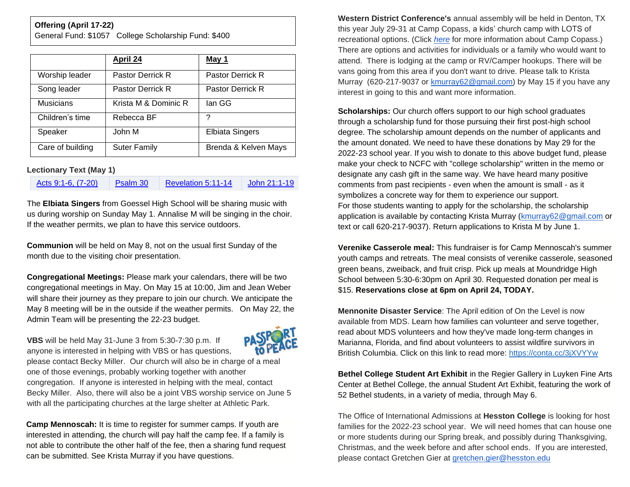#### **Offering (April 17-22)**

General Fund: \$1057 College Scholarship Fund: \$400

|                  | April 24             | May 1                  |
|------------------|----------------------|------------------------|
| Worship leader   | Pastor Derrick R     | Pastor Derrick R       |
| Song leader      | Pastor Derrick R     | Pastor Derrick R       |
| <b>Musicians</b> | Krista M & Dominic R | lan GG                 |
| Children's time  | Rebecca BF           | ?                      |
| Speaker          | John M               | <b>Elbiata Singers</b> |
| Care of building | <b>Suter Family</b>  | Brenda & Kelven Mays   |

#### **Lectionary Text (May 1)**

[Acts 9:1-6, \(7-20\)](https://lectionary.library.vanderbilt.edu/texts.php?id=135) [Psalm 30](https://lectionary.library.vanderbilt.edu/texts.php?id=135) [Revelation 5:11-14](https://lectionary.library.vanderbilt.edu/texts.php?id=135) [John 21:1-19](https://lectionary.library.vanderbilt.edu/texts.php?id=135)

The **Elbiata Singers** from Goessel High School will be sharing music with us during worship on Sunday May 1. Annalise M will be singing in the choir. If the weather permits, we plan to have this service outdoors.

**Communion** will be held on May 8, not on the usual first Sunday of the month due to the visiting choir presentation.

**Congregational Meetings:** Please mark your calendars, there will be two congregational meetings in May. On May 15 at 10:00, Jim and Jean Weber will share their journey as they prepare to join our church. We anticipate the May 8 meeting will be in the outside if the weather permits. On May 22, the Admin Team will be presenting the 22-23 budget.

**VBS** will be held May 31-June 3 from 5:30-7:30 p.m. If anyone is interested in helping with VBS or has questions,



please contact Becky Miller. Our church will also be in charge of a meal one of those evenings, probably working together with another congregation. If anyone is interested in helping with the meal, contact Becky Miller. Also, there will also be a joint VBS worship service on June 5 with all the participating churches at the large shelter at Athletic Park.

**Camp Mennoscah:** It is time to register for summer camps. If youth are interested in attending, the church will pay half the camp fee. If a family is not able to contribute the other half of the fee, then a sharing fund request can be submitted. See Krista Murray if you have questions.

**Western District Conference's** annual assembly will be held in Denton, TX this year July 29-31 at Camp Copass, a kids' church camp with LOTS of recreational options. (Click *[here](https://campcopass.com/)* for more information about Camp Copass.) There are options and activities for individuals or a family who would want to attend. There is lodging at the camp or RV/Camper hookups. There will be vans going from this area if you don't want to drive. Please talk to Krista Murray (620-217-9037 or [kmurray62@gmail.com\)](mailto:kmurray62@gmail.com) by May 15 if you have any interest in going to this and want more information.

**Scholarships:** Our church offers support to our high school graduates through a scholarship fund for those pursuing their first post-high school degree. The scholarship amount depends on the number of applicants and the amount donated. We need to have these donations by May 29 for the 2022-23 school year. If you wish to donate to this above budget fund, please make your check to NCFC with "college scholarship" written in the memo or designate any cash gift in the same way. We have heard many positive comments from past recipients - even when the amount is small - as it symbolizes a concrete way for them to experience our support. For those students wanting to apply for the scholarship, the scholarship application is available by contacting Krista Murray [\(kmurray62@gmail.com](mailto:kmurray62@gmail.com) or text or call 620-217-9037). Return applications to Krista M by June 1.

**Verenike Casserole meal:** This fundraiser is for Camp Mennoscah's summer youth camps and retreats. The meal consists of verenike casserole, seasoned green beans, zweiback, and fruit crisp. Pick up meals at Moundridge High School between 5:30-6:30pm on April 30. Requested donation per meal is \$15. **Reservations close at 6pm on April 24, TODAY.**

**Mennonite Disaster Service**: The April edition of On the Level is now available from MDS. Learn how families can volunteer and serve together, read about MDS volunteers and how they've made long-term changes in Marianna, Florida, and find about volunteers to assist wildfire survivors in British Columbia. Click on this link to read more: [https://conta.cc/3jXVYYw](https://r20.rs6.net/tn.jsp?f=001GCPWA_x4_dl7UJAFmb_RcuJJMNGJqgqkaTQ63zvIImbIO_R5fZIVqBoc82gnFfw2mJNYG0fFtdI5DrUbxoKe35n6KmilLZF0988E2R5KacQzB2_aUpjXUCZ6p2b9MjwFVfDaKV8aFNtMiahIFmC67A==&c=KsxWdBGW3TFavdhwAPu0VYEnpDeWyPcsnZ1r26TxHdhB8AKmecgo0Q==&ch=DJ-P-b4ufbm0dRphUr0L6LnqfM87kcLZTgtJ6bnc7RECDQsB1ipixQ==)

**Bethel College Student Art Exhibit** in the Regier Gallery in Luyken Fine Arts Center at Bethel College, the annual Student Art Exhibit, featuring the work of 52 Bethel students, in a variety of media, through May 6.

The Office of International Admissions at **Hesston College** is looking for host families for the 2022-23 school year. We will need homes that can house one or more students during our Spring break, and possibly during Thanksgiving, Christmas, and the week before and after school ends. If you are interested, please contact Gretchen Gier at [gretchen.gier@hesston.edu](mailto:gretchen.gier@hesston.edu)